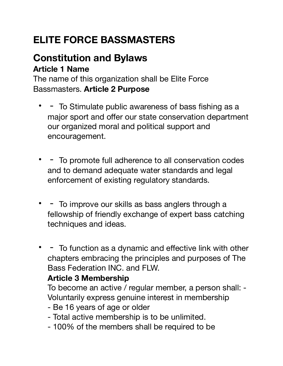# **ELITE FORCE BASSMASTERS**

#### **Constitution and Bylaws Article 1 Name**

The name of this organization shall be Elite Force Bassmasters. **Article 2 Purpose** 

- - To Stimulate public awareness of bass fishing as a major sport and offer our state conservation department our organized moral and political support and encouragement.
- - To promote full adherence to all conservation codes and to demand adequate water standards and legal enforcement of existing regulatory standards.
- - To improve our skills as bass anglers through a fellowship of friendly exchange of expert bass catching techniques and ideas.
- - To function as a dynamic and effective link with other chapters embracing the principles and purposes of The Bass Federation INC. and FLW.

#### **Article 3 Membership**

To become an active / regular member, a person shall: - Voluntarily express genuine interest in membership

- Be 16 years of age or older
- Total active membership is to be unlimited.
- 100% of the members shall be required to be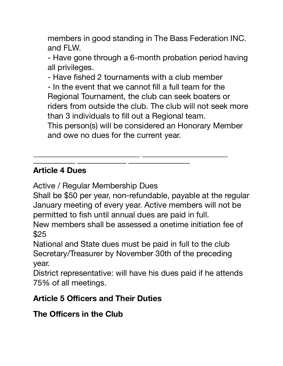members in good standing in The Bass Federation INC. and FLW.

- Have gone through a 6-month probation period having all privileges.

- Have fished 2 tournaments with a club member

- In the event that we cannot fill a full team for the Regional Tournament, the club can seek boaters or riders from outside the club. The club will not seek more than 3 individuals to fill out a Regional team.

This person(s) will be considered an Honorary Member and owe no dues for the current year.

#### **Article 4 Dues**

Active / Regular Membership Dues

Shall be \$50 per year, non-refundable, payable at the regular January meeting of every year. Active members will not be permitted to fish until annual dues are paid in full.

New members shall be assessed a onetime initiation fee of \$25

National and State dues must be paid in full to the club Secretary/Treasurer by November 30th of the preceding year.

District representative: will have his dues paid if he attends 75% of all meetings.

#### **Article 5 Officers and Their Duties**

**The Officers in the Club**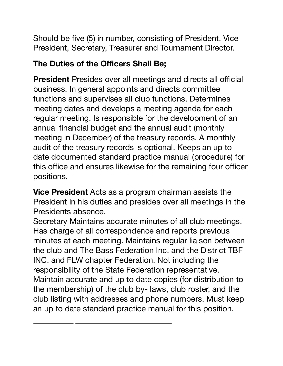Should be five (5) in number, consisting of President, Vice President, Secretary, Treasurer and Tournament Director.

# **The Duties of the Officers Shall Be;**

**President** Presides over all meetings and directs all official business. In general appoints and directs committee functions and supervises all club functions. Determines meeting dates and develops a meeting agenda for each regular meeting. Is responsible for the development of an annual financial budget and the annual audit (monthly meeting in December) of the treasury records. A monthly audit of the treasury records is optional. Keeps an up to date documented standard practice manual (procedure) for this office and ensures likewise for the remaining four officer positions.

**Vice President** Acts as a program chairman assists the President in his duties and presides over all meetings in the Presidents absence.

Secretary Maintains accurate minutes of all club meetings. Has charge of all correspondence and reports previous minutes at each meeting. Maintains regular liaison between the club and The Bass Federation Inc. and the District TBF INC. and FLW chapter Federation. Not including the responsibility of the State Federation representative. Maintain accurate and up to date copies (for distribution to the membership) of the club by- laws, club roster, and the club listing with addresses and phone numbers. Must keep an up to date standard practice manual for this position.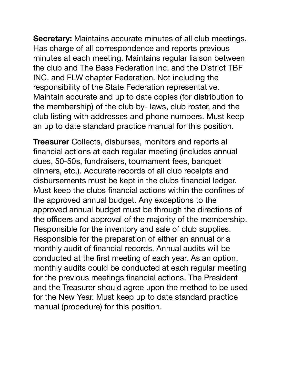**Secretary:** Maintains accurate minutes of all club meetings. Has charge of all correspondence and reports previous minutes at each meeting. Maintains regular liaison between the club and The Bass Federation Inc. and the District TBF INC. and FLW chapter Federation. Not including the responsibility of the State Federation representative. Maintain accurate and up to date copies (for distribution to the membership) of the club by- laws, club roster, and the club listing with addresses and phone numbers. Must keep an up to date standard practice manual for this position.

**Treasurer** Collects, disburses, monitors and reports all financial actions at each regular meeting (includes annual dues, 50-50s, fundraisers, tournament fees, banquet dinners, etc.). Accurate records of all club receipts and disbursements must be kept in the clubs financial ledger. Must keep the clubs financial actions within the confines of the approved annual budget. Any exceptions to the approved annual budget must be through the directions of the officers and approval of the majority of the membership. Responsible for the inventory and sale of club supplies. Responsible for the preparation of either an annual or a monthly audit of financial records. Annual audits will be conducted at the first meeting of each year. As an option, monthly audits could be conducted at each regular meeting for the previous meetings financial actions. The President and the Treasurer should agree upon the method to be used for the New Year. Must keep up to date standard practice manual (procedure) for this position.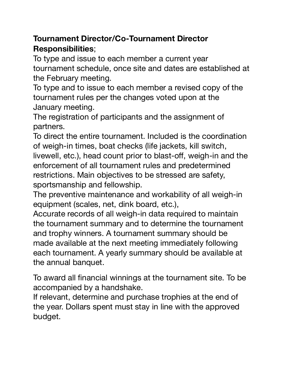## **Tournament Director/Co-Tournament Director Responsibilities**;

To type and issue to each member a current year tournament schedule, once site and dates are established at the February meeting.

To type and to issue to each member a revised copy of the tournament rules per the changes voted upon at the January meeting.

The registration of participants and the assignment of partners.

To direct the entire tournament. Included is the coordination of weigh-in times, boat checks (life jackets, kill switch, livewell, etc.), head count prior to blast-off, weigh-in and the enforcement of all tournament rules and predetermined restrictions. Main objectives to be stressed are safety, sportsmanship and fellowship.

The preventive maintenance and workability of all weigh-in equipment (scales, net, dink board, etc.),

Accurate records of all weigh-in data required to maintain the tournament summary and to determine the tournament and trophy winners. A tournament summary should be made available at the next meeting immediately following each tournament. A yearly summary should be available at the annual banquet.

To award all financial winnings at the tournament site. To be accompanied by a handshake.

If relevant, determine and purchase trophies at the end of the year. Dollars spent must stay in line with the approved budget.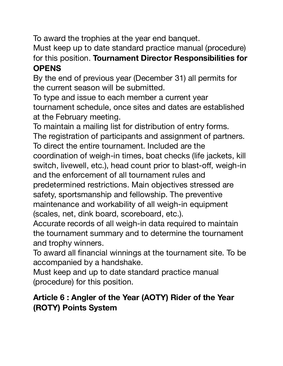To award the trophies at the year end banquet.

Must keep up to date standard practice manual (procedure) for this position. **Tournament Director Responsibilities for OPENS**

By the end of previous year (December 31) all permits for the current season will be submitted.

To type and issue to each member a current year tournament schedule, once sites and dates are established at the February meeting.

To maintain a mailing list for distribution of entry forms.

The registration of participants and assignment of partners.

To direct the entire tournament. Included are the

coordination of weigh-in times, boat checks (life jackets, kill switch, livewell, etc.), head count prior to blast-off, weigh-in and the enforcement of all tournament rules and

predetermined restrictions. Main objectives stressed are safety, sportsmanship and fellowship. The preventive maintenance and workability of all weigh-in equipment (scales, net, dink board, scoreboard, etc.).

Accurate records of all weigh-in data required to maintain the tournament summary and to determine the tournament and trophy winners.

To award all financial winnings at the tournament site. To be accompanied by a handshake.

Must keep and up to date standard practice manual (procedure) for this position.

# **Article 6 : Angler of the Year (AOTY) Rider of the Year (ROTY) Points System**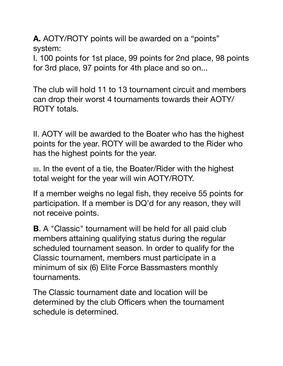**A.** AOTY/ROTY points will be awarded on a "points" system:

I. 100 points for 1st place, 99 points for 2nd place, 98 points for 3rd place, 97 points for 4th place and so on...

The club will hold 11 to 13 tournament circuit and members can drop their worst 4 tournaments towards their AOTY/ ROTY totals.

II. AOTY will be awarded to the Boater who has the highest points for the year. ROTY will be awarded to the Rider who has the highest points for the year.

 $III.$  In the event of a tie, the Boater/Rider with the highest total weight for the year will win AOTY/ROTY.

If a member weighs no legal fish, they receive 55 points for participation. If a member is DQ'd for any reason, they will not receive points.

**B**. A "Classic" tournament will be held for all paid club members attaining qualifying status during the regular scheduled tournament season. In order to qualify for the Classic tournament, members must participate in a minimum of six (6) Elite Force Bassmasters monthly tournaments.

The Classic tournament date and location will be determined by the club Officers when the tournament schedule is determined.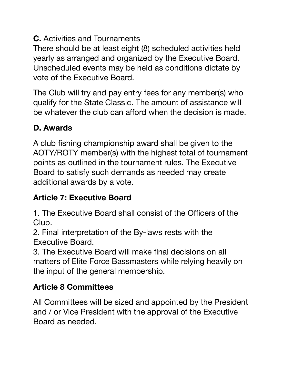**C.** Activities and Tournaments

There should be at least eight (8) scheduled activities held yearly as arranged and organized by the Executive Board. Unscheduled events may be held as conditions dictate by vote of the Executive Board.

The Club will try and pay entry fees for any member(s) who qualify for the State Classic. The amount of assistance will be whatever the club can afford when the decision is made.

## **D. Awards**

A club fishing championship award shall be given to the AOTY/ROTY member(s) with the highest total of tournament points as outlined in the tournament rules. The Executive Board to satisfy such demands as needed may create additional awards by a vote.

## **Article 7: Executive Board**

1. The Executive Board shall consist of the Officers of the Club.

2. Final interpretation of the By-laws rests with the Executive Board.

3. The Executive Board will make final decisions on all matters of Elite Force Bassmasters while relying heavily on the input of the general membership.

# **Article 8 Committees**

All Committees will be sized and appointed by the President and / or Vice President with the approval of the Executive Board as needed.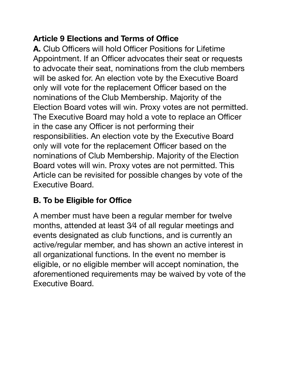#### **Article 9 Elections and Terms of Office**

**A.** Club Officers will hold Officer Positions for Lifetime Appointment. If an Officer advocates their seat or requests to advocate their seat, nominations from the club members will be asked for. An election vote by the Executive Board only will vote for the replacement Officer based on the nominations of the Club Membership. Majority of the Election Board votes will win. Proxy votes are not permitted. The Executive Board may hold a vote to replace an Officer in the case any Officer is not performing their responsibilities. An election vote by the Executive Board only will vote for the replacement Officer based on the nominations of Club Membership. Majority of the Election Board votes will win. Proxy votes are not permitted. This Article can be revisited for possible changes by vote of the Executive Board.

## **B. To be Eligible for Office**

A member must have been a regular member for twelve months, attended at least 3⁄4 of all regular meetings and events designated as club functions, and is currently an active/regular member, and has shown an active interest in all organizational functions. In the event no member is eligible, or no eligible member will accept nomination, the aforementioned requirements may be waived by vote of the Executive Board.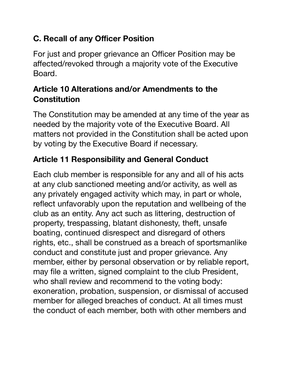## **C. Recall of any Officer Position**

For just and proper grievance an Officer Position may be affected/revoked through a majority vote of the Executive Board.

#### **Article 10 Alterations and/or Amendments to the Constitution**

The Constitution may be amended at any time of the year as needed by the majority vote of the Executive Board. All matters not provided in the Constitution shall be acted upon by voting by the Executive Board if necessary.

# **Article 11 Responsibility and General Conduct**

Each club member is responsible for any and all of his acts at any club sanctioned meeting and/or activity, as well as any privately engaged activity which may, in part or whole, reflect unfavorably upon the reputation and wellbeing of the club as an entity. Any act such as littering, destruction of property, trespassing, blatant dishonesty, theft, unsafe boating, continued disrespect and disregard of others rights, etc., shall be construed as a breach of sportsmanlike conduct and constitute just and proper grievance. Any member, either by personal observation or by reliable report, may file a written, signed complaint to the club President, who shall review and recommend to the voting body: exoneration, probation, suspension, or dismissal of accused member for alleged breaches of conduct. At all times must the conduct of each member, both with other members and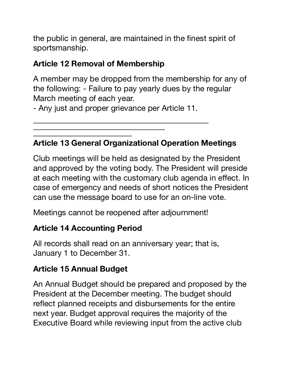the public in general, are maintained in the finest spirit of sportsmanship.

## **Article 12 Removal of Membership**

A member may be dropped from the membership for any of the following: - Failure to pay yearly dues by the regular March meeting of each year.

- Any just and proper grievance per Article 11.

#### **Article 13 General Organizational Operation Meetings**

Club meetings will be held as designated by the President and approved by the voting body. The President will preside at each meeting with the customary club agenda in effect. In case of emergency and needs of short notices the President can use the message board to use for an on-line vote.

Meetings cannot be reopened after adjournment!

#### **Article 14 Accounting Period**

All records shall read on an anniversary year; that is, January 1 to December 31.

#### **Article 15 Annual Budget**

An Annual Budget should be prepared and proposed by the President at the December meeting. The budget should reflect planned receipts and disbursements for the entire next year. Budget approval requires the majority of the Executive Board while reviewing input from the active club